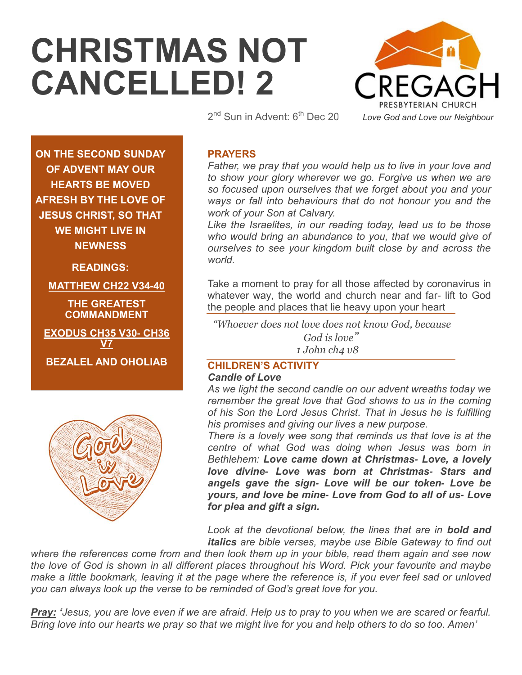# **CHRISTMAS NOT CANCELLED! 2**



2<sup>nd</sup> Sun in Advent: 6<sup>th</sup> Dec 20

**ON THE SECOND SUNDAY OF ADVENT MAY OUR HEARTS BE MOVED AFRESH BY THE LOVE OF JESUS CHRIST, SO THAT WE MIGHT LIVE IN NEWNESS**

**READINGS:**

**MATTHEW CH22 V34-40**

**THE GREATEST COMMANDMENT** 

**EXODUS CH35 V30- CH36 V7 BEZALEL AND OHOLIAB**



# **PRAYERS**

*Father, we pray that you would help us to live in your love and to show your glory wherever we go. Forgive us when we are so focused upon ourselves that we forget about you and your ways or fall into behaviours that do not honour you and the work of your Son at Calvary.*

*Like the Israelites, in our reading today, lead us to be those who would bring an abundance to you, that we would give of ourselves to see your kingdom built close by and across the world.* 

Take a moment to pray for all those affected by coronavirus in whatever way, the world and church near and far- lift to God the people and places that lie heavy upon your heart

*"Whoever does not love does not know God, because God is love" 1 John ch4 v8*

# **CHILDREN'S ACTIVITY**

#### *Candle of Love*

*As we light the second candle on our advent wreaths today we remember the great love that God shows to us in the coming of his Son the Lord Jesus Christ. That in Jesus he is fulfilling his promises and giving our lives a new purpose.* 

*There is a lovely wee song that reminds us that love is at the centre of what God was doing when Jesus was born in Bethlehem: Love came down at Christmas- Love, a lovely love divine- Love was born at Christmas- Stars and angels gave the sign- Love will be our token- Love be yours, and love be mine- Love from God to all of us- Love for plea and gift a sign.*

Look at the devotional below, the lines that are in **bold and** *italics are bible verses, maybe use Bible Gateway to find out* 

*where the references come from and then look them up in your bible, read them again and see now the love of God is shown in all different places throughout his Word. Pick your favourite and maybe make a little bookmark, leaving it at the page where the reference is, if you ever feel sad or unloved you can always look up the verse to be reminded of God's great love for you.* 

*Pray: "Jesus, you are love even if we are afraid. Help us to pray to you when we are scared or fearful. Bring love into our hearts we pray so that we might live for you and help others to do so too. Amen'*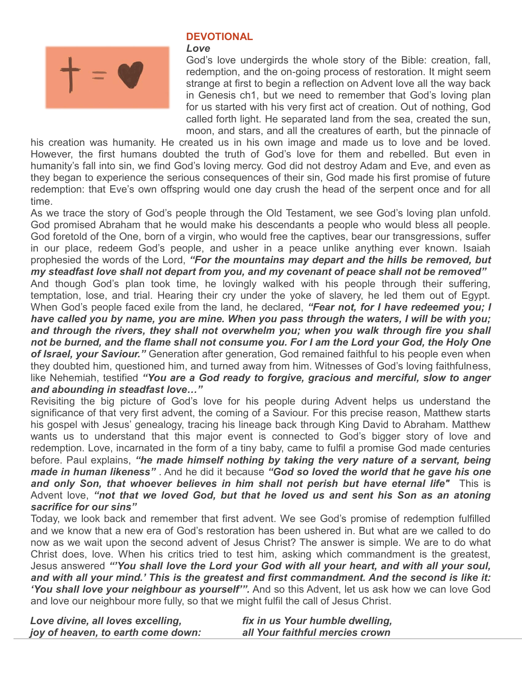

### **DEVOTIONAL**

#### *Love*

God's love undergirds the whole story of the Bible: creation, fall, redemption, and the on-going process of restoration. It might seem strange at first to begin a reflection on Advent love all the way back in Genesis ch1, but we need to remember that God's loving plan for us started with his very first act of creation. Out of nothing, God called forth light. He separated land from the sea, created the sun, moon, and stars, and all the creatures of earth, but the pinnacle of

his creation was humanity. He created us in his own image and made us to love and be loved. However, the first humans doubted the truth of God's love for them and rebelled. But even in humanity's fall into sin, we find God's loving mercy. God did not destroy Adam and Eve, and even as they began to experience the serious consequences of their sin, God made his first promise of future redemption: that Eve's own offspring would one day crush the head of the serpent once and for all time.

As we trace the story of God's people through the Old Testament, we see God's loving plan unfold. God promised Abraham that he would make his descendants a people who would bless all people. God foretold of the One, born of a virgin, who would free the captives, bear our transgressions, suffer in our place, redeem God's people, and usher in a peace unlike anything ever known. Isaiah prophesied the words of the Lord, *"For the mountains may depart and the hills be removed, but my steadfast love shall not depart from you, and my covenant of peace shall not be removed"* And though God's plan took time, he lovingly walked with his people through their suffering, temptation, lose, and trial. Hearing their cry under the yoke of slavery, he led them out of Egypt. When God's people faced exile from the land, he declared, *"Fear not, for I have redeemed you; I* 

*have called you by name, you are mine. When you pass through the waters, I will be with you; and through the rivers, they shall not overwhelm you; when you walk through fire you shall not be burned, and the flame shall not consume you. For I am the Lord your God, the Holy One of Israel, your Saviour."* Generation after generation, God remained faithful to his people even when they doubted him, questioned him, and turned away from him. Witnesses of God's loving faithfulness, like Nehemiah, testified *"You are a God ready to forgive, gracious and merciful, slow to anger and abounding in steadfast love…"*

Revisiting the big picture of God's love for his people during Advent helps us understand the significance of that very first advent, the coming of a Saviour. For this precise reason, Matthew starts his gospel with Jesus' genealogy, tracing his lineage back through King David to Abraham. Matthew wants us to understand that this major event is connected to God's bigger story of love and redemption. Love, incarnated in the form of a tiny baby, came to fulfil a promise God made centuries before. Paul explains, *"he made himself nothing by taking the very nature of a servant, being made in human likeness"* . And he did it because *"God so loved the world that he gave his one and only Son, that whoever believes in him shall not perish but have eternal life"* This is Advent love, *"not that we loved God, but that he loved us and sent his Son as an atoning sacrifice for our sins"* 

Today, we look back and remember that first advent. We see God's promise of redemption fulfilled and we know that a new era of God's restoration has been ushered in. But what are we called to do now as we wait upon the second advent of Jesus Christ? The answer is simple. We are to do what Christ does, love. When his critics tried to test him, asking which commandment is the greatest, Jesus answered *""You shall love the Lord your God with all your heart, and with all your soul, and with all your mind." This is the greatest and first commandment. And the second is like it: "You shall love your neighbour as yourself"".* And so this Advent, let us ask how we can love God and love our neighbour more fully, so that we might fulfil the call of Jesus Christ.

| Love divine, all loves excelling,  | fix in us Your humble dwelling, |
|------------------------------------|---------------------------------|
| joy of heaven, to earth come down: | all Your faithful mercies crown |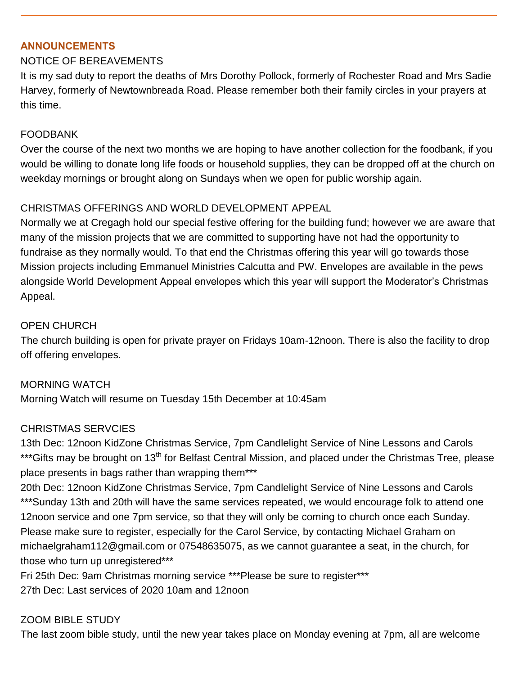#### **ANNOUNCEMENTS**

#### NOTICE OF BEREAVEMENTS

It is my sad duty to report the deaths of Mrs Dorothy Pollock, formerly of Rochester Road and Mrs Sadie Harvey, formerly of Newtownbreada Road. Please remember both their family circles in your prayers at this time.

#### FOODBANK

Over the course of the next two months we are hoping to have another collection for the foodbank, if you would be willing to donate long life foods or household supplies, they can be dropped off at the church on weekday mornings or brought along on Sundays when we open for public worship again.

#### CHRISTMAS OFFERINGS AND WORLD DEVELOPMENT APPEAL

Normally we at Cregagh hold our special festive offering for the building fund; however we are aware that many of the mission projects that we are committed to supporting have not had the opportunity to fundraise as they normally would. To that end the Christmas offering this year will go towards those Mission projects including Emmanuel Ministries Calcutta and PW. Envelopes are available in the pews alongside World Development Appeal envelopes which this year will support the Moderator's Christmas Appeal.

#### OPEN CHURCH

The church building is open for private prayer on Fridays 10am-12noon. There is also the facility to drop off offering envelopes.

MORNING WATCH Morning Watch will resume on Tuesday 15th December at 10:45am

#### CHRISTMAS SERVCIES

13th Dec: 12noon KidZone Christmas Service, 7pm Candlelight Service of Nine Lessons and Carols \*\*\*Gifts may be brought on 13<sup>th</sup> for Belfast Central Mission, and placed under the Christmas Tree, please place presents in bags rather than wrapping them\*\*\*

20th Dec: 12noon KidZone Christmas Service, 7pm Candlelight Service of Nine Lessons and Carols \*\*\*Sunday 13th and 20th will have the same services repeated, we would encourage folk to attend one 12noon service and one 7pm service, so that they will only be coming to church once each Sunday. Please make sure to register, especially for the Carol Service, by contacting Michael Graham on michaelgraham112@gmail.com or 07548635075, as we cannot guarantee a seat, in the church, for those who turn up unregistered\*\*\*

Fri 25th Dec: 9am Christmas morning service \*\*\*Please be sure to register\*\*\* 27th Dec: Last services of 2020 10am and 12noon

#### ZOOM BIBLE STUDY

The last zoom bible study, until the new year takes place on Monday evening at 7pm, all are welcome